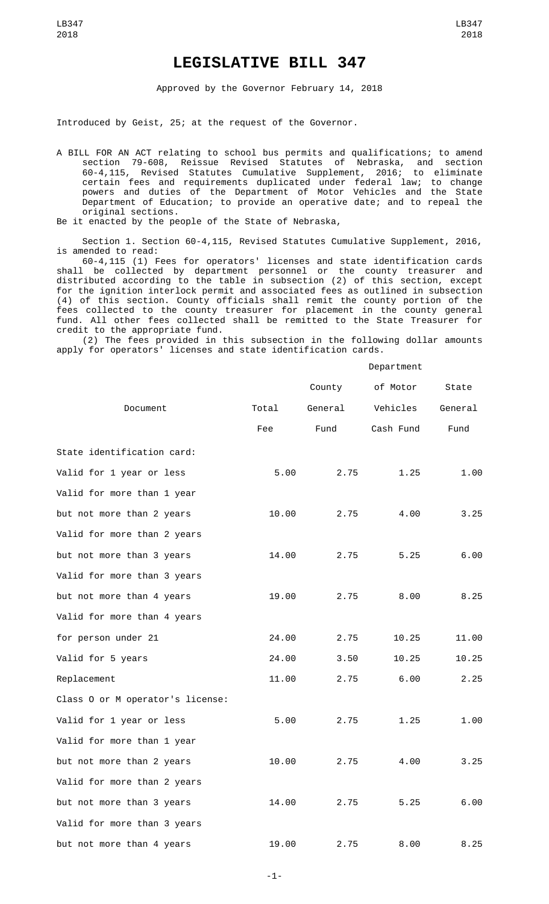## **LEGISLATIVE BILL 347**

Approved by the Governor February 14, 2018

Introduced by Geist, 25; at the request of the Governor.

A BILL FOR AN ACT relating to school bus permits and qualifications; to amend section 79-608, Reissue Revised Statutes of Nebraska, and section<br>60-4,115, Revised Statutes Cumulative Supplement, 2016; to eliminate 60-4,115, Revised Statutes Cumulative Supplement, 2016; to eliminate certain fees and requirements duplicated under federal law; to change powers and duties of the Department of Motor Vehicles and the State Department of Education; to provide an operative date; and to repeal the original sections.

Be it enacted by the people of the State of Nebraska,

Section 1. Section 60-4,115, Revised Statutes Cumulative Supplement, 2016, is amended to read:

60-4,115 (1) Fees for operators' licenses and state identification cards shall be collected by department personnel or the county treasurer and distributed according to the table in subsection (2) of this section, except for the ignition interlock permit and associated fees as outlined in subsection (4) of this section. County officials shall remit the county portion of the fees collected to the county treasurer for placement in the county general fund. All other fees collected shall be remitted to the State Treasurer for credit to the appropriate fund.

(2) The fees provided in this subsection in the following dollar amounts apply for operators' licenses and state identification cards.

## Department

|                                  |       | County  | of Motor  | State   |
|----------------------------------|-------|---------|-----------|---------|
| Document                         | Total | General | Vehicles  | General |
|                                  | Fee   | Fund    | Cash Fund | Fund    |
| State identification card:       |       |         |           |         |
| Valid for 1 year or less         | 5.00  | 2.75    | 1.25      | 1.00    |
| Valid for more than 1 year       |       |         |           |         |
| but not more than 2 years        | 10.00 | 2.75    | 4.00      | 3.25    |
| Valid for more than 2 years      |       |         |           |         |
| but not more than 3 years        | 14.00 | 2.75    | 5.25      | 6.00    |
| Valid for more than 3 years      |       |         |           |         |
| but not more than 4 years        | 19.00 | 2.75    | 8.00      | 8.25    |
| Valid for more than 4 years      |       |         |           |         |
| for person under 21              | 24.00 | 2.75    | 10.25     | 11.00   |
| Valid for 5 years                | 24.00 | 3.50    | 10.25     | 10.25   |
| Replacement                      | 11.00 | 2.75    | 6.00      | 2.25    |
| Class 0 or M operator's license: |       |         |           |         |
| Valid for 1 year or less         | 5.00  | 2.75    | 1.25      | 1.00    |
| Valid for more than 1 year       |       |         |           |         |
| but not more than 2 years        | 10.00 | 2.75    | 4.00      | 3.25    |
| Valid for more than 2 years      |       |         |           |         |
| but not more than 3 years        | 14.00 | 2.75    | 5.25      | 6.00    |
| Valid for more than 3 years      |       |         |           |         |
| but not more than 4 years        | 19.00 | 2.75    | 8.00      | 8.25    |

-1-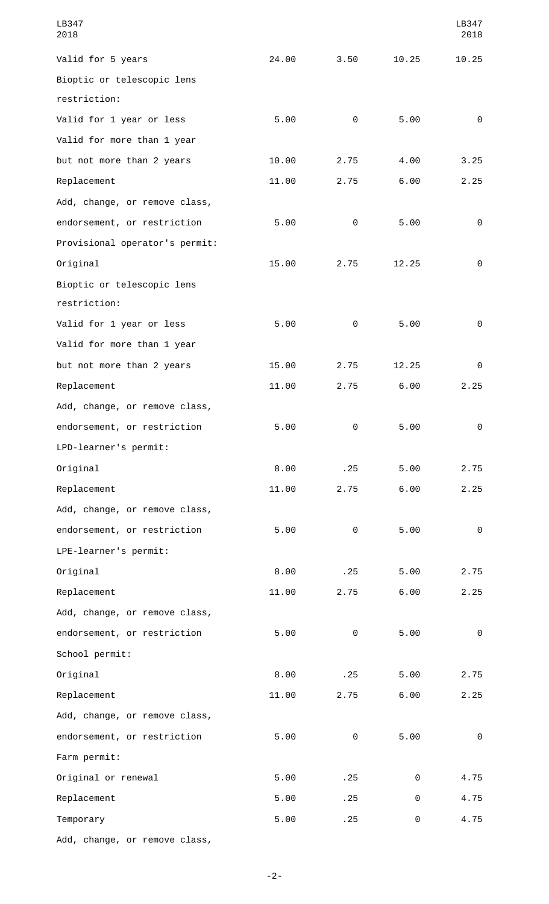| LB347<br>2018                  |       |          |       | LB347<br>2018 |
|--------------------------------|-------|----------|-------|---------------|
| Valid for 5 years              | 24.00 | 3.50     | 10.25 | 10.25         |
| Bioptic or telescopic lens     |       |          |       |               |
| restriction:                   |       |          |       |               |
| Valid for 1 year or less       | 5.00  | 0        | 5.00  | 0             |
| Valid for more than 1 year     |       |          |       |               |
| but not more than 2 years      | 10.00 | 2.75     | 4.00  | 3.25          |
| Replacement                    | 11.00 | 2.75     | 6.00  | 2.25          |
| Add, change, or remove class,  |       |          |       |               |
| endorsement, or restriction    | 5.00  | 0        | 5.00  | 0             |
| Provisional operator's permit: |       |          |       |               |
| Original                       | 15.00 | 2.75     | 12.25 | 0             |
| Bioptic or telescopic lens     |       |          |       |               |
| restriction:                   |       |          |       |               |
| Valid for 1 year or less       | 5.00  | 0        | 5.00  | 0             |
| Valid for more than 1 year     |       |          |       |               |
| but not more than 2 years      | 15.00 | 2.75     | 12.25 | 0             |
| Replacement                    | 11.00 | 2.75     | 6.00  | 2.25          |
| Add, change, or remove class,  |       |          |       |               |
| endorsement, or restriction    | 5.00  | $\Theta$ | 5.00  | $\Theta$      |
| LPD-learner's permit:          |       |          |       |               |
| Original                       | 8.00  | .25      | 5.00  | 2.75          |
| Replacement                    | 11.00 | 2.75     | 6.00  | 2.25          |
| Add, change, or remove class,  |       |          |       |               |
| endorsement, or restriction    | 5.00  | 0        | 5.00  | 0             |
| LPE-learner's permit:          |       |          |       |               |
| Original                       | 8.00  | .25      | 5.00  | 2.75          |
| Replacement                    | 11.00 | 2.75     | 6.00  | 2.25          |
| Add, change, or remove class,  |       |          |       |               |
| endorsement, or restriction    | 5.00  | 0        | 5.00  | 0             |
| School permit:                 |       |          |       |               |
| Original                       | 8.00  | .25      | 5.00  | 2.75          |
| Replacement                    | 11.00 | 2.75     | 6.00  | 2.25          |
| Add, change, or remove class,  |       |          |       |               |
| endorsement, or restriction    | 5.00  | 0        | 5.00  | $\Theta$      |
| Farm permit:                   |       |          |       |               |
| Original or renewal            | 5.00  | .25      | 0     | 4.75          |
| Replacement                    | 5.00  | .25      | 0     | 4.75          |
| Temporary                      | 5.00  | .25      | 0     | 4.75          |
| Add, change, or remove class,  |       |          |       |               |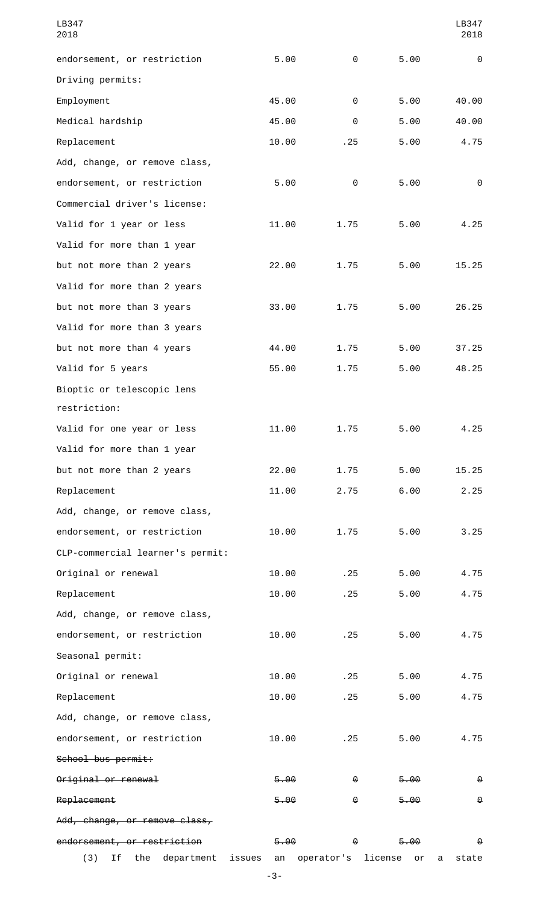| LB347<br>2018                    |              |            |               | LB347<br>2018         |
|----------------------------------|--------------|------------|---------------|-----------------------|
| endorsement, or restriction      | 5.00         | 0          | 5.00          | 0                     |
| Driving permits:                 |              |            |               |                       |
| Employment                       | 45.00        | 0          | 5.00          | 40.00                 |
| Medical hardship                 | 45.00        | 0          | 5.00          | 40.00                 |
| Replacement                      | 10.00        | .25        | 5.00          | 4.75                  |
| Add, change, or remove class,    |              |            |               |                       |
| endorsement, or restriction      | 5.00         | 0          | 5.00          | 0                     |
| Commercial driver's license:     |              |            |               |                       |
| Valid for 1 year or less         | 11.00        | 1.75       | 5.00          | 4.25                  |
| Valid for more than 1 year       |              |            |               |                       |
| but not more than 2 years        | 22.00        | 1.75       | 5.00          | 15.25                 |
| Valid for more than 2 years      |              |            |               |                       |
| but not more than 3 years        | 33.00        | 1.75       | 5.00          | 26.25                 |
| Valid for more than 3 years      |              |            |               |                       |
| but not more than 4 years        | 44.00        | 1.75       | 5.00          | 37.25                 |
| Valid for 5 years                | 55.00        | 1.75       | 5.00          | 48.25                 |
| Bioptic or telescopic lens       |              |            |               |                       |
| restriction:                     |              |            |               |                       |
| Valid for one year or less       | 11.00        | 1.75       | 5.00          | 4.25                  |
| Valid for more than 1 year       |              |            |               |                       |
| but not more than 2 years        | 22.00        | 1.75       | 5.00          | 15.25                 |
| Replacement                      | 11.00        | 2.75       | 6.00          | 2.25                  |
| Add, change, or remove class,    |              |            |               |                       |
| endorsement, or restriction      | 10.00        | 1.75       | 5.00          | 3.25                  |
| CLP-commercial learner's permit: |              |            |               |                       |
| Original or renewal              | 10.00        | .25        | 5.00          | 4.75                  |
| Replacement                      | 10.00        | .25        | 5.00          | 4.75                  |
| Add, change, or remove class,    |              |            |               |                       |
| endorsement, or restriction      | 10.00        | .25        | 5.00          | 4.75                  |
| Seasonal permit:                 |              |            |               |                       |
| Original or renewal              | 10.00        | .25        | 5.00          | 4.75                  |
| Replacement                      | 10.00        | .25        | 5.00          | 4.75                  |
| Add, change, or remove class,    |              |            |               |                       |
| endorsement, or restriction      | 10.00        | .25        | 5.00          | 4.75                  |
| School bus permit:               |              |            |               |                       |
| Original or renewal              | 5.00         | Θ          | 5.00          | θ                     |
| Replacement                      | 5.00         | Θ          | 5.00          | $\Theta$              |
| Add, change, or remove class,    |              |            |               |                       |
| endorsement, or restriction      | 5.00         | θ          | 5.00          | $\boldsymbol{\Theta}$ |
| (3)<br>Ιf<br>the<br>department   | issues<br>an | operator's | license<br>or | state<br>a            |